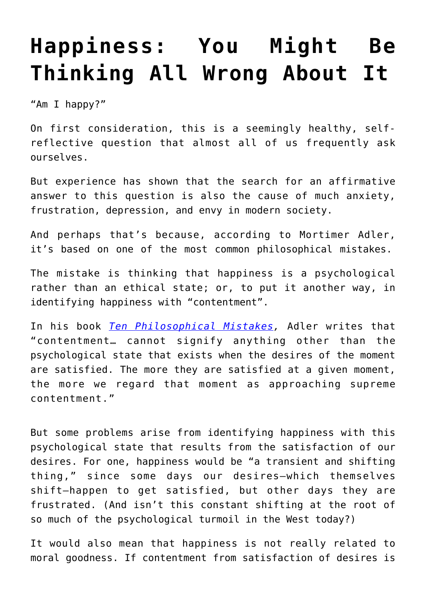## **[Happiness: You Might Be](https://intellectualtakeout.org/2017/09/happiness-you-might-be-thinking-all-wrong-about-it/) [Thinking All Wrong About It](https://intellectualtakeout.org/2017/09/happiness-you-might-be-thinking-all-wrong-about-it/)**

"Am I happy?"

On first consideration, this is a seemingly healthy, selfreflective question that almost all of us frequently ask ourselves.

But experience has shown that the search for an affirmative answer to this question is also the cause of much anxiety, frustration, depression, and envy in modern society.

And perhaps that's because, according to Mortimer Adler, it's based on one of the most common philosophical mistakes.

The mistake is thinking that happiness is a psychological rather than an ethical state; or, to put it another way, in identifying happiness with "contentment".

In his book *[Ten Philosophical Mistakes](http://amzn.to/2y8vEBR),* Adler writes that "contentment… cannot signify anything other than the psychological state that exists when the desires of the moment are satisfied. The more they are satisfied at a given moment, the more we regard that moment as approaching supreme contentment."

But some problems arise from identifying happiness with this psychological state that results from the satisfaction of our desires. For one, happiness would be "a transient and shifting thing," since some days our desires—which themselves shift—happen to get satisfied, but other days they are frustrated. (And isn't this constant shifting at the root of so much of the psychological turmoil in the West today?)

It would also mean that happiness is not really related to moral goodness. If contentment from satisfaction of desires is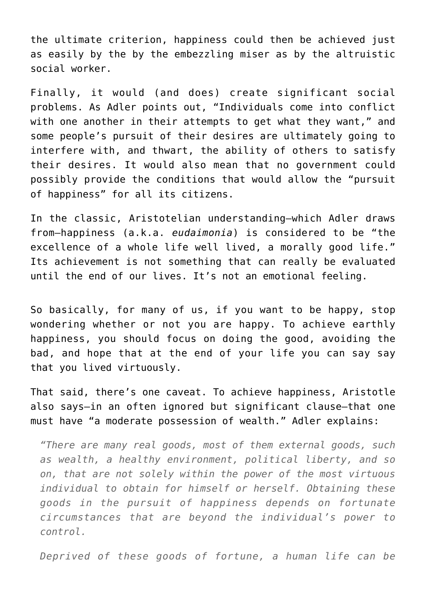the ultimate criterion, happiness could then be achieved just as easily by the by the embezzling miser as by the altruistic social worker.

Finally, it would (and does) create significant social problems. As Adler points out, "Individuals come into conflict with one another in their attempts to get what they want," and some people's pursuit of their desires are ultimately going to interfere with, and thwart, the ability of others to satisfy their desires. It would also mean that no government could possibly provide the conditions that would allow the "pursuit of happiness" for all its citizens.

In the classic, Aristotelian understanding—which Adler draws from—happiness (a.k.a. *eudaimonia*) is considered to be "the excellence of a whole life well lived, a morally good life." Its achievement is not something that can really be evaluated until the end of our lives. It's not an emotional feeling.

So basically, for many of us, if you want to be happy, stop wondering whether or not you are happy. To achieve earthly happiness, you should focus on doing the good, avoiding the bad, and hope that at the end of your life you can say say that you lived virtuously.

That said, there's one caveat. To achieve happiness, Aristotle also says—in an often ignored but significant clause—that one must have "a moderate possession of wealth." Adler explains:

*"There are many real goods, most of them external goods, such as wealth, a healthy environment, political liberty, and so on, that are not solely within the power of the most virtuous individual to obtain for himself or herself. Obtaining these goods in the pursuit of happiness depends on fortunate circumstances that are beyond the individual's power to control.*

*Deprived of these goods of fortune, a human life can be*